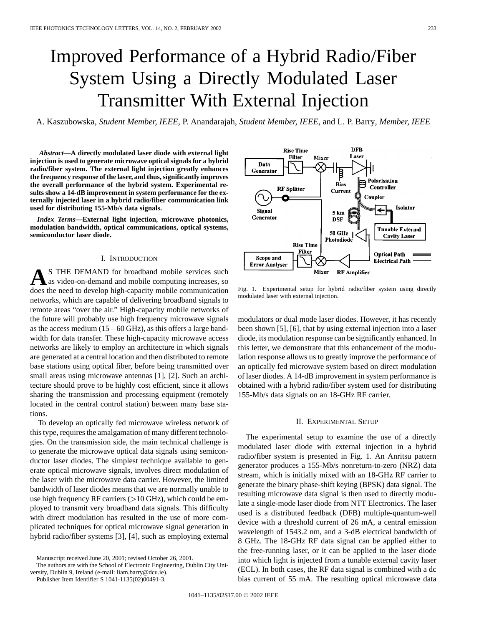# Improved Performance of a Hybrid Radio/Fiber System Using a Directly Modulated Laser Transmitter With External Injection

A. Kaszubowska*, Student Member, IEEE*, P. Anandarajah*, Student Member, IEEE*, and L. P. Barry*, Member, IEEE*

*Abstract—***A directly modulated laser diode with external light injection is used to generate microwave optical signals for a hybrid radio/fiber system. The external light injection greatly enhances the frequency response of the laser, and thus, significantly improves the overall performance of the hybrid system. Experimental results show a 14-dB improvement in system performance for the externally injected laser in a hybrid radio/fiber communication link used for distributing 155-Mb/s data signals.**

*Index Terms—***External light injection, microwave photonics, modulation bandwidth, optical communications, optical systems, semiconductor laser diode.**

#### I. INTRODUCTION

S THE DEMAND for broadband mobile services such as video-on-demand and mobile computing increases, so does the need to develop high-capacity mobile communication networks, which are capable of delivering broadband signals to remote areas "over the air." High-capacity mobile networks of the future will probably use high frequency microwave signals as the access medium  $(15 - 60 \text{ GHz})$ , as this offers a large bandwidth for data transfer. These high-capacity microwave access networks are likely to employ an architecture in which signals are generated at a central location and then distributed to remote base stations using optical fiber, before being transmitted over small areas using microwave antennas [1], [2]. Such an architecture should prove to be highly cost efficient, since it allows sharing the transmission and processing equipment (remotely located in the central control station) between many base stations.

To develop an optically fed microwave wireless network of this type, requires the amalgamation of many different technologies. On the transmission side, the main technical challenge is to generate the microwave optical data signals using semiconductor laser diodes. The simplest technique available to generate optical microwave signals, involves direct modulation of the laser with the microwave data carrier. However, the limited bandwidth of laser diodes means that we are normally unable to use high frequency RF carriers  $(>10$  GHz), which could be employed to transmit very broadband data signals. This difficulty with direct modulation has resulted in the use of more complicated techniques for optical microwave signal generation in hybrid radio/fiber systems [3], [4], such as employing external

Publisher Item Identifier S 1041-1135(02)00491-3.



Fig. 1. Experimental setup for hybrid radio/fiber system using directly modulated laser with external injection.

modulators or dual mode laser diodes. However, it has recently been shown [5], [6], that by using external injection into a laser diode, its modulation response can be significantly enhanced. In this letter, we demonstrate that this enhancement of the modulation response allows us to greatly improve the performance of an optically fed microwave system based on direct modulation of laser diodes. A 14-dB improvement in system performance is obtained with a hybrid radio/fiber system used for distributing 155-Mb/s data signals on an 18-GHz RF carrier.

### II. EXPERIMENTAL SETUP

The experimental setup to examine the use of a directly modulated laser diode with external injection in a hybrid radio/fiber system is presented in Fig. 1. An Anritsu pattern generator produces a 155-Mb/s nonreturn-to-zero (NRZ) data stream, which is initially mixed with an 18-GHz RF carrier to generate the binary phase-shift keying (BPSK) data signal. The resulting microwave data signal is then used to directly modulate a single-mode laser diode from NTT Electronics. The laser used is a distributed feedback (DFB) multiple-quantum-well device with a threshold current of 26 mA, a central emission wavelength of 1543.2 nm, and a 3-dB electrical bandwidth of 8 GHz. The 18-GHz RF data signal can be applied either to the free-running laser, or it can be applied to the laser diode into which light is injected from a tunable external cavity laser (ECL). In both cases, the RF data signal is combined with a dc bias current of 55 mA. The resulting optical microwave data

Manuscript received June 20, 2001; revised October 26, 2001.

The authors are with the School of Electronic Engineering, Dublin City University, Dublin 9, Ireland (e-mail: liam.barry@dcu.ie).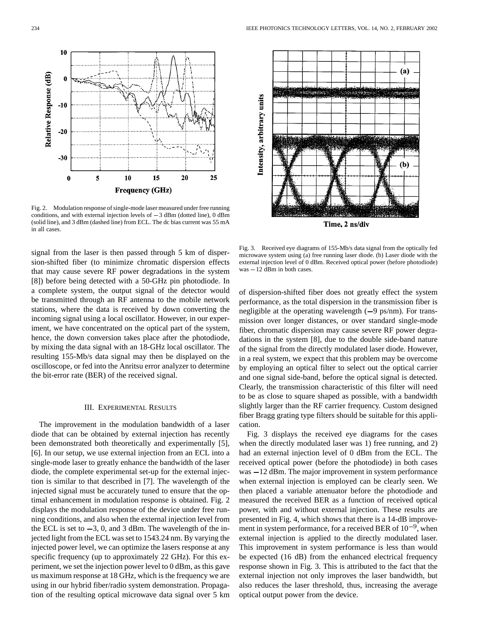

Fig. 2. Modulation response of single-mode laser measured under free running (solid line), and 3 dBm (dashed line) from ECL. The dc bias current was 55 mA in all cases.

signal from the laser is then passed through 5 km of dispersion-shifted fiber (to minimize chromatic dispersion effects that may cause severe RF power degradations in the system [8]) before being detected with a 50-GHz pin photodiode. In a complete system, the output signal of the detector would be transmitted through an RF antenna to the mobile network stations, where the data is received by down converting the incoming signal using a local oscillator. However, in our experiment, we have concentrated on the optical part of the system, hence, the down conversion takes place after the photodiode, by mixing the data signal with an 18-GHz local oscillator. The resulting 155-Mb/s data signal may then be displayed on the oscilloscope, or fed into the Anritsu error analyzer to determine the bit-error rate (BER) of the received signal.

## III. EXPERIMENTAL RESULTS

The improvement in the modulation bandwidth of a laser diode that can be obtained by external injection has recently been demonstrated both theoretically and experimentally [5], [6]. In our setup, we use external injection from an ECL into a single-mode laser to greatly enhance the bandwidth of the laser diode, the complete experimental set-up for the external injection is similar to that described in [7]. The wavelength of the injected signal must be accurately tuned to ensure that the optimal enhancement in modulation response is obtained. Fig. 2 displays the modulation response of the device under free running conditions, and also when the external injection level from the ECL is set to  $-3$ , 0, and 3 dBm. The wavelength of the injected light from the ECL was set to 1543.24 nm. By varying the injected power level, we can optimize the lasers response at any specific frequency (up to approximately 22 GHz). For this experiment, we set the injection power level to 0 dBm, as this gave us maximum response at 18 GHz, which is the frequency we are using in our hybrid fiber/radio system demonstration. Propagation of the resulting optical microwave data signal over 5 km



Time, 2 ns/div

Fig. 3. Received eye diagrams of 155-Mb/s data signal from the optically fed microwave system using (a) free running laser diode. (b) Laser diode with the external injection level of 0 dBm. Received optical power (before p microwave system using (a) free running laser diode. (b) Laser diode with the external injection level of 0 dBm. Received optical power (before photodiode)

of dispersion-shifted fiber does not greatly effect the system performance, as the total dispersion in the transmission fiber is negligible at the operating wavelength  $(-9 \text{ ps/nm})$ . For transmission over longer distances, or over standard single-mode fiber, chromatic dispersion may cause severe RF power degradations in the system [8], due to the double side-band nature of the signal from the directly modulated laser diode. However, in a real system, we expect that this problem may be overcome by employing an optical filter to select out the optical carrier and one signal side-band, before the optical signal is detected. Clearly, the transmission characteristic of this filter will need to be as close to square shaped as possible, with a bandwidth slightly larger than the RF carrier frequency. Custom designed fiber Bragg grating type filters should be suitable for this application.

Fig. 3 displays the received eye diagrams for the cases when the directly modulated laser was 1) free running, and 2) had an external injection level of 0 dBm from the ECL. The received optical power (before the photodiode) in both cases was  $-12$  dBm. The major improvement in system performance when external injection is employed can be clearly seen. We then placed a variable attenuator before the photodiode and measured the received BER as a function of received optical power, with and without external injection. These results are presented in Fig. 4, which shows that there is a 14-dB improvement in system performance, for a received BER of  $10^{-9}$ , when external injection is applied to the directly modulated laser. This improvement in system performance is less than would be expected (16 dB) from the enhanced electrical frequency response shown in Fig. 3. This is attributed to the fact that the external injection not only improves the laser bandwidth, but also reduces the laser threshold, thus, increasing the average optical output power from the device.